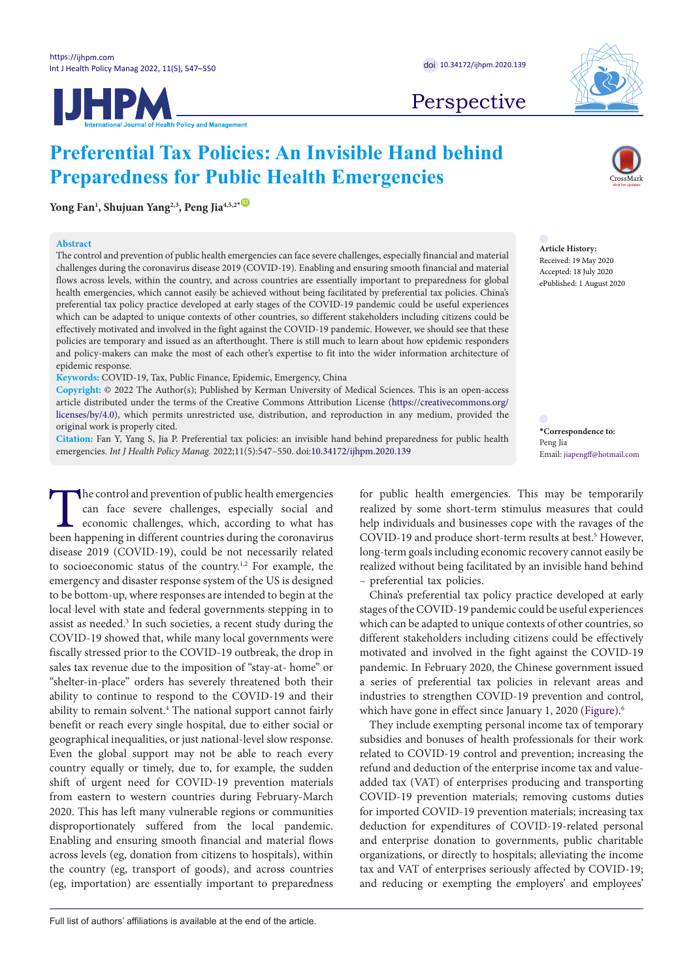**IJHPM** 



Perspective

# **Preferential Tax Policies: An Invisible Hand behind Preparedness for Public Health Emergencies**

**Yong Fan1 , Shujuan Yang2,3, Peng Jia4,5,2[\\*](#page-0-0)** [ID](https://www.orcid.org/0000-0003-0110-3637)

# **Abstract**

The control and prevention of public health emergencies can face severe challenges, especially financial and material challenges during the coronavirus disease 2019 (COVID-19). Enabling and ensuring smooth financial and material flows across levels, within the country, and across countries are essentially important to preparedness for global health emergencies, which cannot easily be achieved without being facilitated by preferential tax policies. China's preferential tax policy practice developed at early stages of the COVID-19 pandemic could be useful experiences which can be adapted to unique contexts of other countries, so different stakeholders including citizens could be effectively motivated and involved in the fight against the COVID-19 pandemic. However, we should see that these policies are temporary and issued as an afterthought. There is still much to learn about how epidemic responders and policy-makers can make the most of each other's expertise to fit into the wider information architecture of epidemic response.

**Keywords:** COVID-19, Tax, Public Finance, Epidemic, Emergency, China

**Copyright:** © 2022 The Author(s); Published by Kerman University of Medical Sciences. This is an open-access article distributed under the terms of the Creative Commons Attribution License ([https://creativecommons.org/](https://creativecommons.org/licenses/by/4.0) [licenses/by/4.0](https://creativecommons.org/licenses/by/4.0)), which permits unrestricted use, distribution, and reproduction in any medium, provided the original work is properly cited.

**Citation:** Fan Y, Yang S, Jia P. Preferential tax policies: an invisible hand behind preparedness for public health emergencies. *Int J Health Policy Manag.* 2022;11(5):547–550. doi[:10.34172/ijhpm.2020.139](https://doi.org/10.34172/ijhpm.2020.139)

The control and prevention of public health emergencies<br>can face severe challenges, especially social and<br>economic challenges, which, according to what has<br>been happening in different countries during the coronavirus can face severe challenges, especially social and economic challenges, which, according to what has been happening in different countries during the coronavirus disease 2019 (COVID-19), could be not necessarily related to socioeconomic status of the country.<sup>1,2</sup> For example, the emergency and disaster response system of the US is designed to be bottom-up, where responses are intended to begin at the local level with state and federal governments stepping in to assist as needed.<sup>3</sup> In such societies, a recent study during the COVID-19 showed that, while many local governments were fiscally stressed prior to the COVID-19 outbreak, the drop in sales tax revenue due to the imposition of "stay-at- home" or "shelter-in-place" orders has severely threatened both their ability to continue to respond to the COVID-19 and their ability to remain solvent.<sup>4</sup> The national support cannot fairly benefit or reach every single hospital, due to either social or geographical inequalities, or just national-level slow response. Even the global support may not be able to reach every country equally or timely, due to, for example, the sudden shift of urgent need for COVID-19 prevention materials from eastern to western countries during February-March 2020. This has left many vulnerable regions or communities disproportionately suffered from the local pandemic. Enabling and ensuring smooth financial and material flows across levels (eg, donation from citizens to hospitals), within the country (eg, transport of goods), and across countries (eg, importation) are essentially important to preparedness

**Article History:** Received: 19 May 2020 Accepted: 18 July 2020 ePublished: 1 August 2020

> <span id="page-0-0"></span>**\*Correspondence to:** Peng Jia Email: jiapengff@hotmail.com

for public health emergencies. This may be temporarily realized by some short-term stimulus measures that could help individuals and businesses cope with the ravages of the COVID-19 and produce short-term results at best.<sup>5</sup> However, long-term goals including economic recovery cannot easily be realized without being facilitated by an invisible hand behind – preferential tax policies.

China's preferential tax policy practice developed at early stages of the COVID-19 pandemic could be useful experiences which can be adapted to unique contexts of other countries, so different stakeholders including citizens could be effectively motivated and involved in the fight against the COVID-19 pandemic. In February 2020, the Chinese government issued a series of preferential tax policies in relevant areas and industries to strengthen COVID-19 prevention and control, which have gone in effect since January 1, 2020 [\(Figure](#page-1-0)).<sup>6</sup>

They include exempting personal income tax of temporary subsidies and bonuses of health professionals for their work related to COVID-19 control and prevention; increasing the refund and deduction of the enterprise income tax and valueadded tax (VAT) of enterprises producing and transporting COVID-19 prevention materials; removing customs duties for imported COVID-19 prevention materials; increasing tax deduction for expenditures of COVID-19-related personal and enterprise donation to governments, public charitable organizations, or directly to hospitals; alleviating the income tax and VAT of enterprises seriously affected by COVID-19; and reducing or exempting the employers' and employees'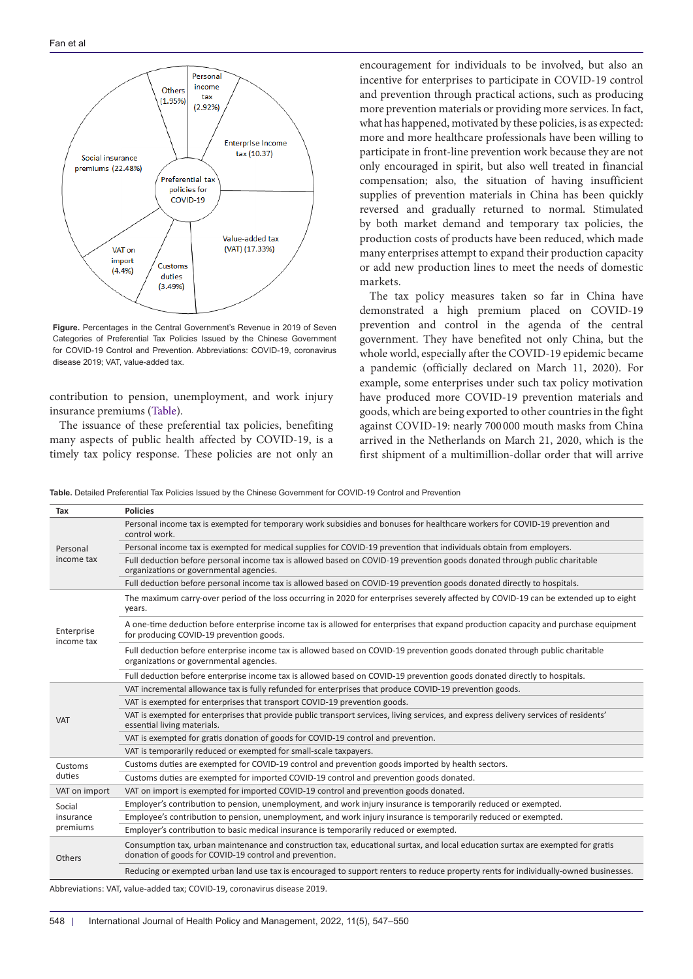<span id="page-1-0"></span>

**Figure.** Percentages in the Central Government's Revenue in 2019 of Seven Categories of Preferential Tax Policies Issued by the Chinese Government for COVID-19 Control and Prevention. Abbreviations: COVID-19, coronavirus disease 2019; VAT, value-added tax.

contribution to pension, unemployment, and work injury insurance premiums [\(Table\)](#page-1-1).

The issuance of these preferential tax policies, benefiting many aspects of public health affected by COVID-19, is a timely tax policy response. These policies are not only an encouragement for individuals to be involved, but also an incentive for enterprises to participate in COVID-19 control and prevention through practical actions, such as producing more prevention materials or providing more services. In fact, what has happened, motivated by these policies, is as expected: more and more healthcare professionals have been willing to participate in front-line prevention work because they are not only encouraged in spirit, but also well treated in financial compensation; also, the situation of having insufficient supplies of prevention materials in China has been quickly reversed and gradually returned to normal. Stimulated by both market demand and temporary tax policies, the production costs of products have been reduced, which made many enterprises attempt to expand their production capacity or add new production lines to meet the needs of domestic markets.

The tax policy measures taken so far in China have demonstrated a high premium placed on COVID-19 prevention and control in the agenda of the central government. They have benefited not only China, but the whole world, especially after the COVID-19 epidemic became a pandemic (officially declared on March 11, 2020). For example, some enterprises under such tax policy motivation have produced more COVID-19 prevention materials and goods, which are being exported to other countries in the fight against COVID-19: nearly 700 000 mouth masks from China arrived in the Netherlands on March 21, 2020, which is the first shipment of a multimillion-dollar order that will arrive

<span id="page-1-1"></span>

|  |  |  |  |  |  |  | <b>Table.</b> Detailed Preferential Tax Policies Issued by the Chinese Government for COVID-19 Control and Prevention |  |  |  |  |  |
|--|--|--|--|--|--|--|-----------------------------------------------------------------------------------------------------------------------|--|--|--|--|--|
|--|--|--|--|--|--|--|-----------------------------------------------------------------------------------------------------------------------|--|--|--|--|--|

| Tax                      | <b>Policies</b>                                                                                                                                                                           |  |  |  |  |  |  |
|--------------------------|-------------------------------------------------------------------------------------------------------------------------------------------------------------------------------------------|--|--|--|--|--|--|
|                          | Personal income tax is exempted for temporary work subsidies and bonuses for healthcare workers for COVID-19 prevention and<br>control work.                                              |  |  |  |  |  |  |
| Personal                 | Personal income tax is exempted for medical supplies for COVID-19 prevention that individuals obtain from employers.                                                                      |  |  |  |  |  |  |
| income tax               | Full deduction before personal income tax is allowed based on COVID-19 prevention goods donated through public charitable<br>organizations or governmental agencies.                      |  |  |  |  |  |  |
|                          | Full deduction before personal income tax is allowed based on COVID-19 prevention goods donated directly to hospitals.                                                                    |  |  |  |  |  |  |
| Enterprise<br>income tax | The maximum carry-over period of the loss occurring in 2020 for enterprises severely affected by COVID-19 can be extended up to eight<br>years.                                           |  |  |  |  |  |  |
|                          | A one-time deduction before enterprise income tax is allowed for enterprises that expand production capacity and purchase equipment<br>for producing COVID-19 prevention goods.           |  |  |  |  |  |  |
|                          | Full deduction before enterprise income tax is allowed based on COVID-19 prevention goods donated through public charitable<br>organizations or governmental agencies.                    |  |  |  |  |  |  |
|                          | Full deduction before enterprise income tax is allowed based on COVID-19 prevention goods donated directly to hospitals.                                                                  |  |  |  |  |  |  |
|                          | VAT incremental allowance tax is fully refunded for enterprises that produce COVID-19 prevention goods.                                                                                   |  |  |  |  |  |  |
|                          | VAT is exempted for enterprises that transport COVID-19 prevention goods.                                                                                                                 |  |  |  |  |  |  |
| <b>VAT</b>               | VAT is exempted for enterprises that provide public transport services, living services, and express delivery services of residents'<br>essential living materials.                       |  |  |  |  |  |  |
|                          | VAT is exempted for gratis donation of goods for COVID-19 control and prevention.                                                                                                         |  |  |  |  |  |  |
|                          | VAT is temporarily reduced or exempted for small-scale taxpayers.                                                                                                                         |  |  |  |  |  |  |
| Customs                  | Customs duties are exempted for COVID-19 control and prevention goods imported by health sectors.                                                                                         |  |  |  |  |  |  |
| duties                   | Customs duties are exempted for imported COVID-19 control and prevention goods donated.                                                                                                   |  |  |  |  |  |  |
| VAT on import            | VAT on import is exempted for imported COVID-19 control and prevention goods donated.                                                                                                     |  |  |  |  |  |  |
| Social                   | Employer's contribution to pension, unemployment, and work injury insurance is temporarily reduced or exempted.                                                                           |  |  |  |  |  |  |
| insurance                | Employee's contribution to pension, unemployment, and work injury insurance is temporarily reduced or exempted.                                                                           |  |  |  |  |  |  |
| premiums                 | Employer's contribution to basic medical insurance is temporarily reduced or exempted.                                                                                                    |  |  |  |  |  |  |
| Others                   | Consumption tax, urban maintenance and construction tax, educational surtax, and local education surtax are exempted for gratis<br>donation of goods for COVID-19 control and prevention. |  |  |  |  |  |  |
|                          | Reducing or exempted urban land use tax is encouraged to support renters to reduce property rents for individually-owned businesses.                                                      |  |  |  |  |  |  |

Abbreviations: VAT, value-added tax; COVID-19, coronavirus disease 2019.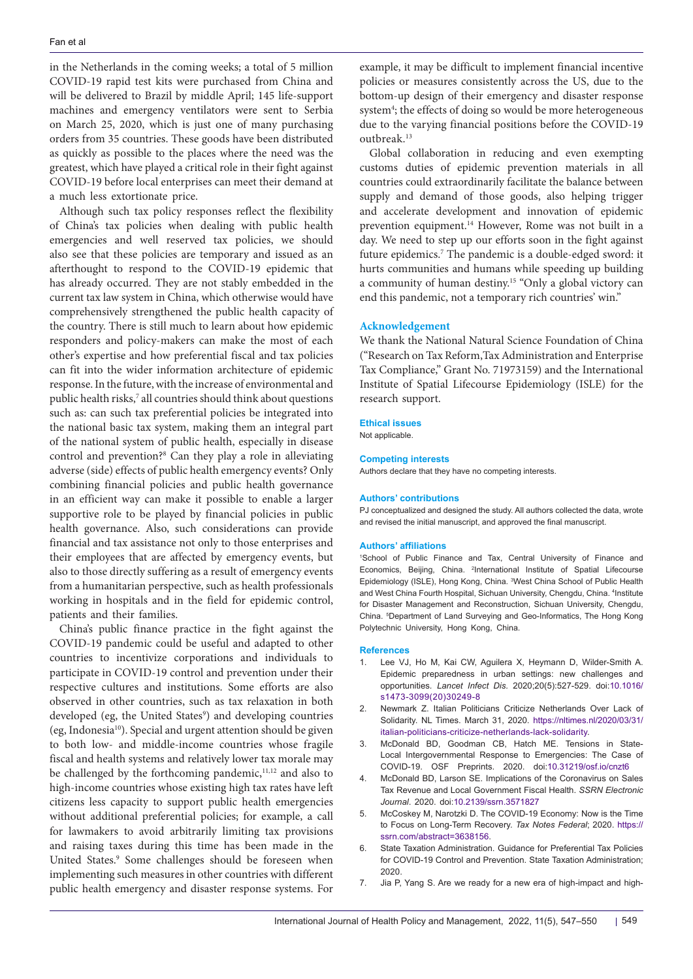in the Netherlands in the coming weeks; a total of 5 million COVID-19 rapid test kits were purchased from China and will be delivered to Brazil by middle April; 145 life-support machines and emergency ventilators were sent to Serbia on March 25, 2020, which is just one of many purchasing orders from 35 countries. These goods have been distributed as quickly as possible to the places where the need was the greatest, which have played a critical role in their fight against COVID-19 before local enterprises can meet their demand at a much less extortionate price.

Although such tax policy responses reflect the flexibility of China's tax policies when dealing with public health emergencies and well reserved tax policies, we should also see that these policies are temporary and issued as an afterthought to respond to the COVID-19 epidemic that has already occurred. They are not stably embedded in the current tax law system in China, which otherwise would have comprehensively strengthened the public health capacity of the country. There is still much to learn about how epidemic responders and policy-makers can make the most of each other's expertise and how preferential fiscal and tax policies can fit into the wider information architecture of epidemic response. In the future, with the increase of environmental and public health risks,<sup>7</sup> all countries should think about questions such as: can such tax preferential policies be integrated into the national basic tax system, making them an integral part of the national system of public health, especially in disease control and prevention?<sup>8</sup> Can they play a role in alleviating adverse (side) effects of public health emergency events? Only combining financial policies and public health governance in an efficient way can make it possible to enable a larger supportive role to be played by financial policies in public health governance. Also, such considerations can provide financial and tax assistance not only to those enterprises and their employees that are affected by emergency events, but also to those directly suffering as a result of emergency events from a humanitarian perspective, such as health professionals working in hospitals and in the field for epidemic control, patients and their families.

China's public finance practice in the fight against the COVID-19 pandemic could be useful and adapted to other countries to incentivize corporations and individuals to participate in COVID-19 control and prevention under their respective cultures and institutions. Some efforts are also observed in other countries, such as tax relaxation in both developed (eg, the United States<sup>9</sup>) and developing countries (eg, Indonesia10). Special and urgent attention should be given to both low- and middle-income countries whose fragile fiscal and health systems and relatively lower tax morale may be challenged by the forthcoming pandemic, $11,12$  and also to high-income countries whose existing high tax rates have left citizens less capacity to support public health emergencies without additional preferential policies; for example, a call for lawmakers to avoid arbitrarily limiting tax provisions and raising taxes during this time has been made in the United States.<sup>9</sup> Some challenges should be foreseen when implementing such measures in other countries with different public health emergency and disaster response systems. For

example, it may be difficult to implement financial incentive policies or measures consistently across the US, due to the bottom-up design of their emergency and disaster response system<sup>4</sup>; the effects of doing so would be more heterogeneous due to the varying financial positions before the COVID-19 outbreak.13

Global collaboration in reducing and even exempting customs duties of epidemic prevention materials in all countries could extraordinarily facilitate the balance between supply and demand of those goods, also helping trigger and accelerate development and innovation of epidemic prevention equipment.14 However, Rome was not built in a day. We need to step up our efforts soon in the fight against future epidemics.<sup>7</sup> The pandemic is a double-edged sword: it hurts communities and humans while speeding up building a community of human destiny.15 "Only a global victory can end this pandemic, not a temporary rich countries' win."

# **Acknowledgement**

We thank the National Natural Science Foundation of China ("Research on Tax Reform,Tax Administration and Enterprise Tax Compliance," Grant No. 71973159) and the International Institute of Spatial Lifecourse Epidemiology (ISLE) for the research support.

#### **Ethical issues**

Not applicable.

## **Competing interests**

Authors declare that they have no competing interests.

#### **Authors' contributions**

PJ conceptualized and designed the study. All authors collected the data, wrote and revised the initial manuscript, and approved the final manuscript.

## **Authors' affiliations**

1 School of Public Finance and Tax, Central University of Finance and Economics, Beijing, China. <sup>2</sup>International Institute of Spatial Lifecourse Epidemiology (ISLE), Hong Kong, China. <sup>3</sup>West China School of Public Health and West China Fourth Hospital, Sichuan University, Chengdu, China. <sup>4</sup>Institute for Disaster Management and Reconstruction, Sichuan University, Chengdu, China. 5 Department of Land Surveying and Geo-Informatics, The Hong Kong Polytechnic University, Hong Kong, China.

#### **References**

- 1. Lee VJ, Ho M, Kai CW, Aguilera X, Heymann D, Wilder-Smith A. Epidemic preparedness in urban settings: new challenges and opportunities*. Lancet Infect Dis.* 2020;20(5):527-529. doi:[10.1016/](https://doi.org/10.1016/s1473-3099(20)30249-8) [s1473-3099\(20\)30249-8](https://doi.org/10.1016/s1473-3099(20)30249-8)
- 2. Newmark Z. Italian Politicians Criticize Netherlands Over Lack of Solidarity. NL Times. March 31, 2020. [https://nltimes.nl/2020/03/31/](https://nltimes.nl/2020/03/31/italian-politicians-criticize-netherlands-lack-solidarity) [italian-politicians-criticize-netherlands-lack-solidarity.](https://nltimes.nl/2020/03/31/italian-politicians-criticize-netherlands-lack-solidarity)
- 3. McDonald BD, Goodman CB, Hatch ME. Tensions in State-Local Intergovernmental Response to Emergencies: The Case of COVID-19. OSF Preprints. 2020. doi[:10.31219/osf.io/cnzt6](https://doi.org/10.31219/osf.io/cnzt6)
- 4. McDonald BD, Larson SE. Implications of the Coronavirus on Sales Tax Revenue and Local Government Fiscal Health. *SSRN Electronic Journal*. 2020. doi:[10.2139/ssrn.3571827](https://doi.org/10.2139/ssrn.3571827)
- 5. McCoskey M, Narotzki D. The COVID-19 Economy: Now is the Time to Focus on Long-Term Recovery. *Tax Notes Federal*; 2020. [https://](https://ssrn.com/abstract=3638156) [ssrn.com/abstract=3638156](https://ssrn.com/abstract=3638156).
- 6. State Taxation Administration. Guidance for Preferential Tax Policies for COVID-19 Control and Prevention. State Taxation Administration; 2020.
- 7. Jia P, Yang S. Are we ready for a new era of high-impact and high-